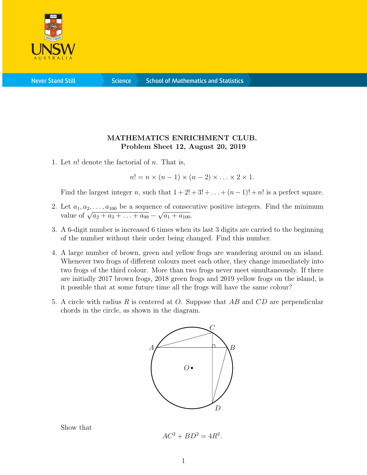

**Science** 

## MATHEMATICS ENRICHMENT CLUB. Problem Sheet 12, August 20, 2019

1. Let  $n!$  denote the factorial of  $n$ . That is,

 $n! = n \times (n-1) \times (n-2) \times \ldots \times 2 \times 1$ .

Find the largest integer n, such that  $1 + 2! + 3! + \ldots + (n-1)! + n!$  is a perfect square.

- 2. Let  $a_1, a_2, \ldots, a_{100}$  be a sequence of consecutive positive integers. Find the minimum value of  $\sqrt{a_2 + a_3 + \ldots + a_{99}} \sqrt{a_1 + a_{100}}$ .  $\mathbf{e}$  $\overline{a_1 + a_{100}}$ .
- 3. A 6-digit number is increased 6 times when its last 3 digits are carried to the beginning of the number without their order being changed. Find this number.
- 4. A large number of brown, green and yellow frogs are wandering around on an island. Whenever two frogs of different colours meet each other, they change immediately into two frogs of the third colour. More than two frogs never meet simultaneously. If there are initially 2017 brown frogs, 2018 green frogs and 2019 yellow frogs on the island, is it possible that at some future time all the frogs will have the same colour?
- 5. A circle with radius R is centered at O. Suppose that  $AB$  and  $CD$  are perpendicular chords in the circle, as shown in the diagram.



Show that

 $AC^2 + BD^2 = 4R^2$ .